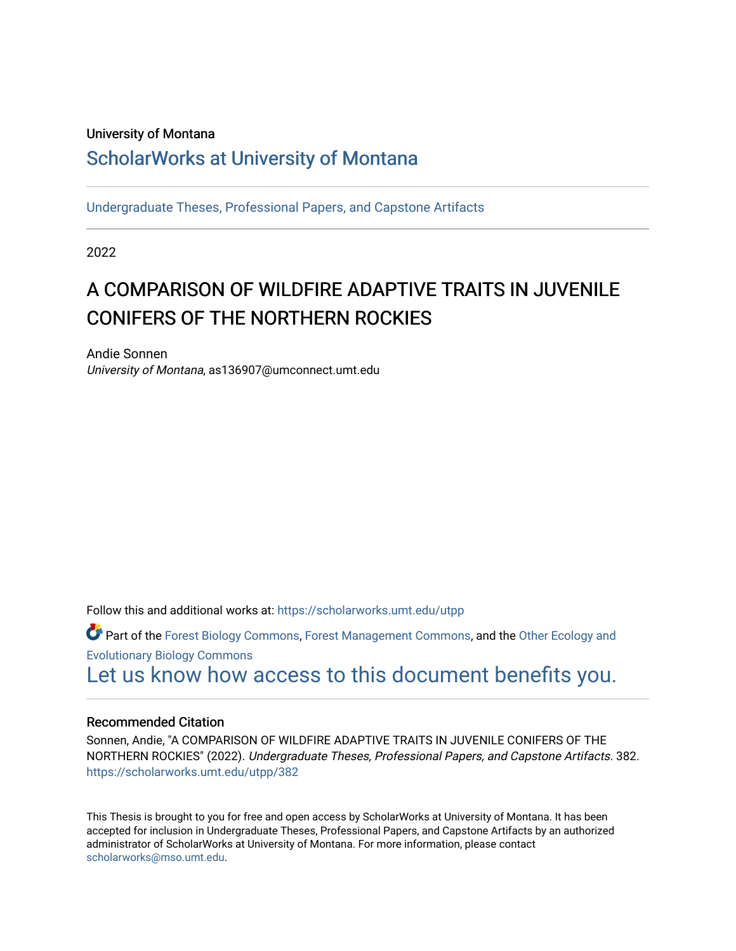### University of Montana

## [ScholarWorks at University of Montana](https://scholarworks.umt.edu/)

[Undergraduate Theses, Professional Papers, and Capstone Artifacts](https://scholarworks.umt.edu/utpp)

2022

# A COMPARISON OF WILDFIRE ADAPTIVE TRAITS IN JUVENILE CONIFERS OF THE NORTHERN ROCKIES

Andie Sonnen University of Montana, as136907@umconnect.umt.edu

Follow this and additional works at: [https://scholarworks.umt.edu/utpp](https://scholarworks.umt.edu/utpp?utm_source=scholarworks.umt.edu%2Futpp%2F382&utm_medium=PDF&utm_campaign=PDFCoverPages)

Part of the [Forest Biology Commons](https://network.bepress.com/hgg/discipline/91?utm_source=scholarworks.umt.edu%2Futpp%2F382&utm_medium=PDF&utm_campaign=PDFCoverPages), [Forest Management Commons,](https://network.bepress.com/hgg/discipline/92?utm_source=scholarworks.umt.edu%2Futpp%2F382&utm_medium=PDF&utm_campaign=PDFCoverPages) and the [Other Ecology and](https://network.bepress.com/hgg/discipline/21?utm_source=scholarworks.umt.edu%2Futpp%2F382&utm_medium=PDF&utm_campaign=PDFCoverPages)  [Evolutionary Biology Commons](https://network.bepress.com/hgg/discipline/21?utm_source=scholarworks.umt.edu%2Futpp%2F382&utm_medium=PDF&utm_campaign=PDFCoverPages) [Let us know how access to this document benefits you.](https://goo.gl/forms/s2rGfXOLzz71qgsB2) 

#### Recommended Citation

Sonnen, Andie, "A COMPARISON OF WILDFIRE ADAPTIVE TRAITS IN JUVENILE CONIFERS OF THE NORTHERN ROCKIES" (2022). Undergraduate Theses, Professional Papers, and Capstone Artifacts. 382. [https://scholarworks.umt.edu/utpp/382](https://scholarworks.umt.edu/utpp/382?utm_source=scholarworks.umt.edu%2Futpp%2F382&utm_medium=PDF&utm_campaign=PDFCoverPages)

This Thesis is brought to you for free and open access by ScholarWorks at University of Montana. It has been accepted for inclusion in Undergraduate Theses, Professional Papers, and Capstone Artifacts by an authorized administrator of ScholarWorks at University of Montana. For more information, please contact [scholarworks@mso.umt.edu.](mailto:scholarworks@mso.umt.edu)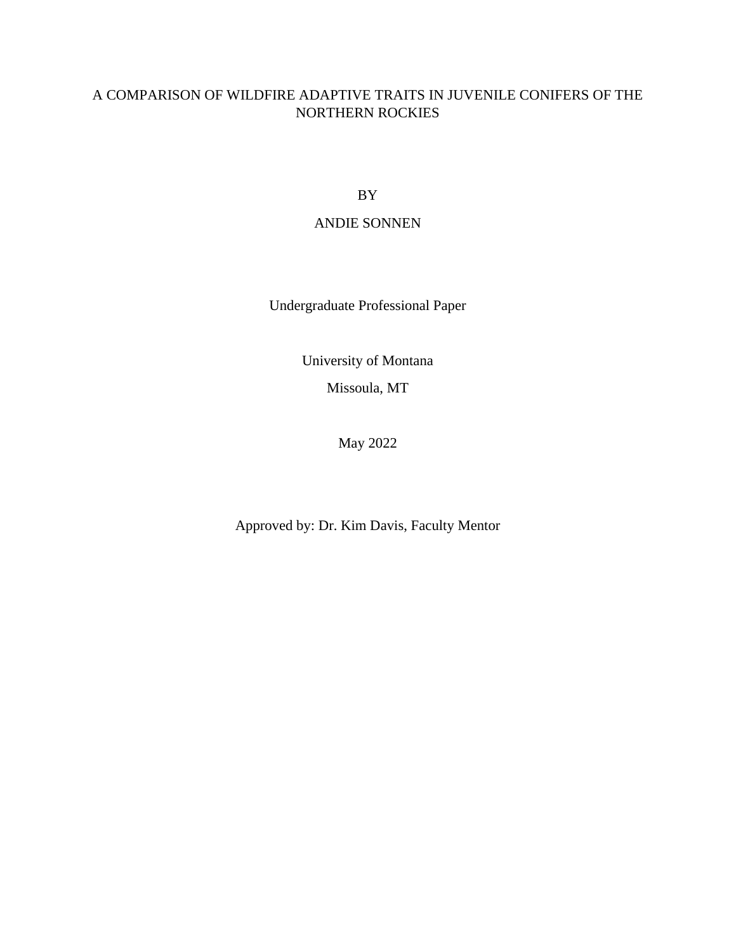## A COMPARISON OF WILDFIRE ADAPTIVE TRAITS IN JUVENILE CONIFERS OF THE NORTHERN ROCKIES

BY

#### ANDIE SONNEN

Undergraduate Professional Paper

University of Montana Missoula, MT

May 2022

Approved by: Dr. Kim Davis, Faculty Mentor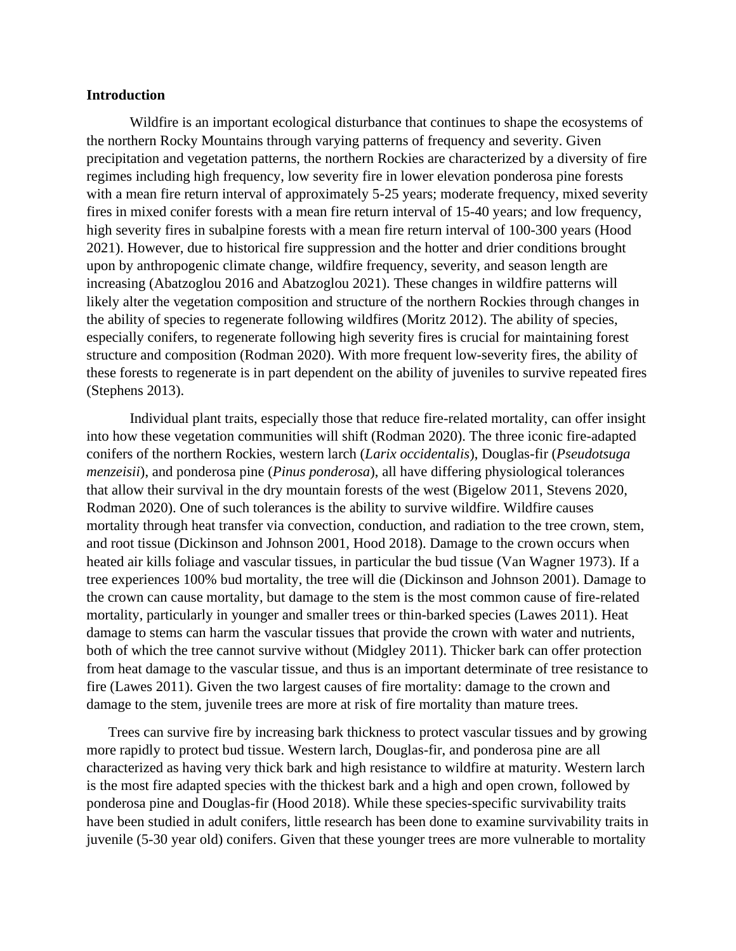#### **Introduction**

Wildfire is an important ecological disturbance that continues to shape the ecosystems of the northern Rocky Mountains through varying patterns of frequency and severity. Given precipitation and vegetation patterns, the northern Rockies are characterized by a diversity of fire regimes including high frequency, low severity fire in lower elevation ponderosa pine forests with a mean fire return interval of approximately 5-25 years; moderate frequency, mixed severity fires in mixed conifer forests with a mean fire return interval of 15-40 years; and low frequency, high severity fires in subalpine forests with a mean fire return interval of 100-300 years (Hood 2021). However, due to historical fire suppression and the hotter and drier conditions brought upon by anthropogenic climate change, wildfire frequency, severity, and season length are increasing (Abatzoglou 2016 and Abatzoglou 2021). These changes in wildfire patterns will likely alter the vegetation composition and structure of the northern Rockies through changes in the ability of species to regenerate following wildfires (Moritz 2012). The ability of species, especially conifers, to regenerate following high severity fires is crucial for maintaining forest structure and composition (Rodman 2020). With more frequent low-severity fires, the ability of these forests to regenerate is in part dependent on the ability of juveniles to survive repeated fires (Stephens 2013).

Individual plant traits, especially those that reduce fire-related mortality, can offer insight into how these vegetation communities will shift (Rodman 2020). The three iconic fire-adapted conifers of the northern Rockies, western larch (*Larix occidentalis*), Douglas-fir (*Pseudotsuga menzeisii*), and ponderosa pine (*Pinus ponderosa*), all have differing physiological tolerances that allow their survival in the dry mountain forests of the west (Bigelow 2011, Stevens 2020, Rodman 2020). One of such tolerances is the ability to survive wildfire. Wildfire causes mortality through heat transfer via convection, conduction, and radiation to the tree crown, stem, and root tissue (Dickinson and Johnson 2001, Hood 2018). Damage to the crown occurs when heated air kills foliage and vascular tissues, in particular the bud tissue (Van Wagner 1973). If a tree experiences 100% bud mortality, the tree will die (Dickinson and Johnson 2001). Damage to the crown can cause mortality, but damage to the stem is the most common cause of fire-related mortality, particularly in younger and smaller trees or thin-barked species (Lawes 2011). Heat damage to stems can harm the vascular tissues that provide the crown with water and nutrients, both of which the tree cannot survive without (Midgley 2011). Thicker bark can offer protection from heat damage to the vascular tissue, and thus is an important determinate of tree resistance to fire (Lawes 2011). Given the two largest causes of fire mortality: damage to the crown and damage to the stem, juvenile trees are more at risk of fire mortality than mature trees.

Trees can survive fire by increasing bark thickness to protect vascular tissues and by growing more rapidly to protect bud tissue. Western larch, Douglas-fir, and ponderosa pine are all characterized as having very thick bark and high resistance to wildfire at maturity. Western larch is the most fire adapted species with the thickest bark and a high and open crown, followed by ponderosa pine and Douglas-fir (Hood 2018). While these species-specific survivability traits have been studied in adult conifers, little research has been done to examine survivability traits in juvenile (5-30 year old) conifers. Given that these younger trees are more vulnerable to mortality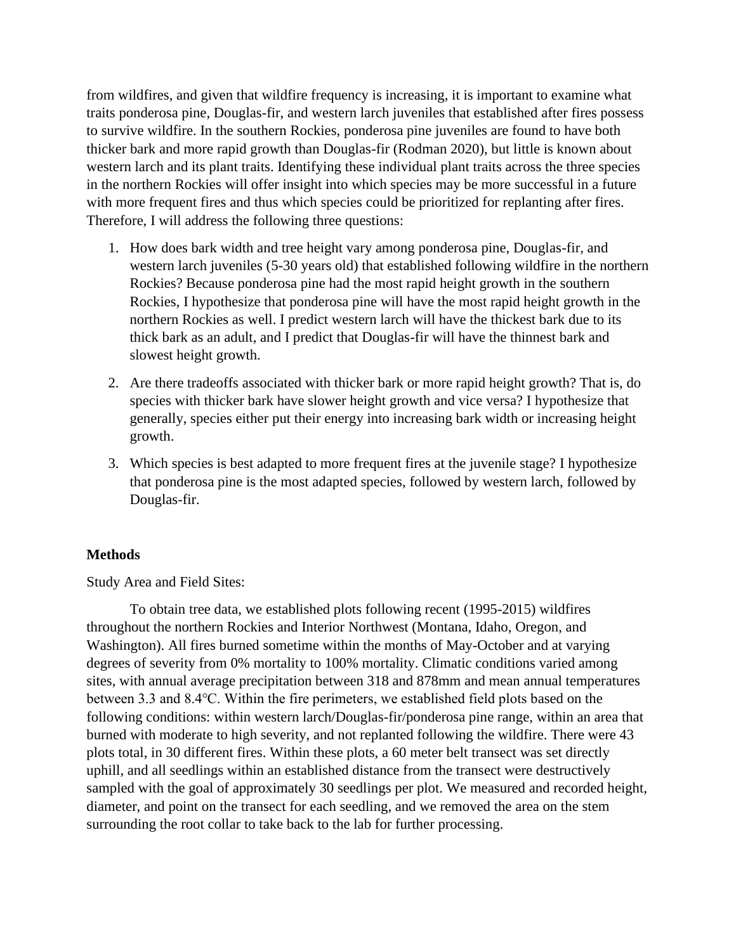from wildfires, and given that wildfire frequency is increasing, it is important to examine what traits ponderosa pine, Douglas-fir, and western larch juveniles that established after fires possess to survive wildfire. In the southern Rockies, ponderosa pine juveniles are found to have both thicker bark and more rapid growth than Douglas-fir (Rodman 2020), but little is known about western larch and its plant traits. Identifying these individual plant traits across the three species in the northern Rockies will offer insight into which species may be more successful in a future with more frequent fires and thus which species could be prioritized for replanting after fires. Therefore, I will address the following three questions:

- 1. How does bark width and tree height vary among ponderosa pine, Douglas-fir, and western larch juveniles (5-30 years old) that established following wildfire in the northern Rockies? Because ponderosa pine had the most rapid height growth in the southern Rockies, I hypothesize that ponderosa pine will have the most rapid height growth in the northern Rockies as well. I predict western larch will have the thickest bark due to its thick bark as an adult, and I predict that Douglas-fir will have the thinnest bark and slowest height growth.
- 2. Are there tradeoffs associated with thicker bark or more rapid height growth? That is, do species with thicker bark have slower height growth and vice versa? I hypothesize that generally, species either put their energy into increasing bark width or increasing height growth.
- 3. Which species is best adapted to more frequent fires at the juvenile stage? I hypothesize that ponderosa pine is the most adapted species, followed by western larch, followed by Douglas-fir.

## **Methods**

Study Area and Field Sites:

To obtain tree data, we established plots following recent (1995-2015) wildfires throughout the northern Rockies and Interior Northwest (Montana, Idaho, Oregon, and Washington). All fires burned sometime within the months of May-October and at varying degrees of severity from 0% mortality to 100% mortality. Climatic conditions varied among sites, with annual average precipitation between 318 and 878mm and mean annual temperatures between 3.3 and 8.4℃. Within the fire perimeters, we established field plots based on the following conditions: within western larch/Douglas-fir/ponderosa pine range, within an area that burned with moderate to high severity, and not replanted following the wildfire. There were 43 plots total, in 30 different fires. Within these plots, a 60 meter belt transect was set directly uphill, and all seedlings within an established distance from the transect were destructively sampled with the goal of approximately 30 seedlings per plot. We measured and recorded height, diameter, and point on the transect for each seedling, and we removed the area on the stem surrounding the root collar to take back to the lab for further processing.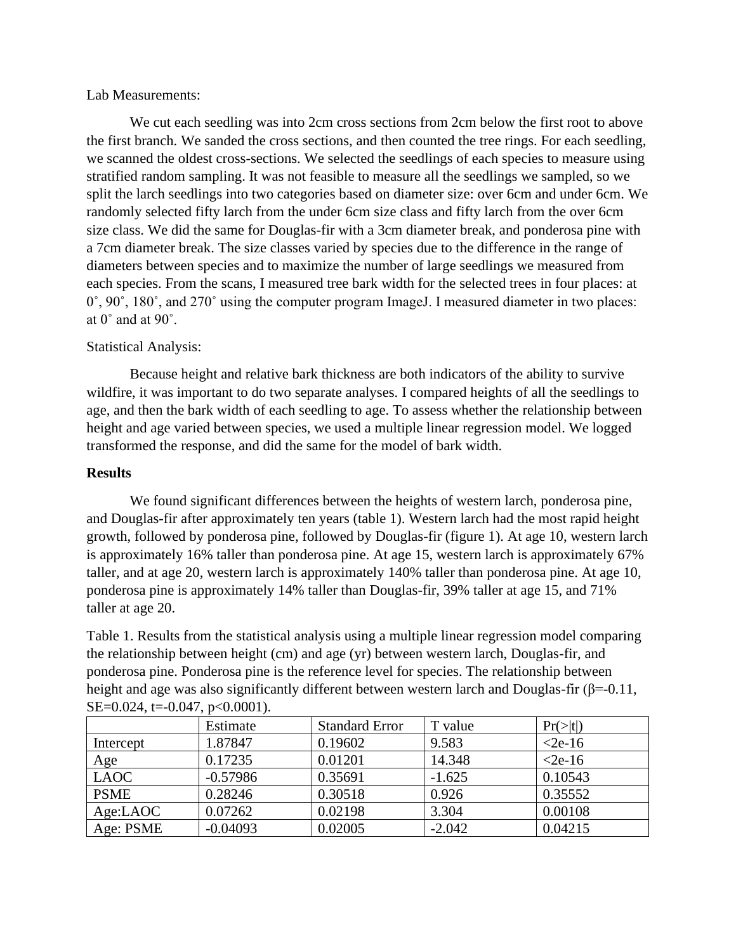#### Lab Measurements:

We cut each seedling was into 2cm cross sections from 2cm below the first root to above the first branch. We sanded the cross sections, and then counted the tree rings. For each seedling, we scanned the oldest cross-sections. We selected the seedlings of each species to measure using stratified random sampling. It was not feasible to measure all the seedlings we sampled, so we split the larch seedlings into two categories based on diameter size: over 6cm and under 6cm. We randomly selected fifty larch from the under 6cm size class and fifty larch from the over 6cm size class. We did the same for Douglas-fir with a 3cm diameter break, and ponderosa pine with a 7cm diameter break. The size classes varied by species due to the difference in the range of diameters between species and to maximize the number of large seedlings we measured from each species. From the scans, I measured tree bark width for the selected trees in four places: at 0˚, 90˚, 180˚, and 270˚ using the computer program ImageJ. I measured diameter in two places: at 0˚ and at 90˚.

## Statistical Analysis:

Because height and relative bark thickness are both indicators of the ability to survive wildfire, it was important to do two separate analyses. I compared heights of all the seedlings to age, and then the bark width of each seedling to age. To assess whether the relationship between height and age varied between species, we used a multiple linear regression model. We logged transformed the response, and did the same for the model of bark width.

### **Results**

We found significant differences between the heights of western larch, ponderosa pine, and Douglas-fir after approximately ten years (table 1). Western larch had the most rapid height growth, followed by ponderosa pine, followed by Douglas-fir (figure 1). At age 10, western larch is approximately 16% taller than ponderosa pine. At age 15, western larch is approximately 67% taller, and at age 20, western larch is approximately 140% taller than ponderosa pine. At age 10, ponderosa pine is approximately 14% taller than Douglas-fir, 39% taller at age 15, and 71% taller at age 20.

Table 1. Results from the statistical analysis using a multiple linear regression model comparing the relationship between height (cm) and age (yr) between western larch, Douglas-fir, and ponderosa pine. Ponderosa pine is the reference level for species. The relationship between height and age was also significantly different between western larch and Douglas-fir (β=-0.11, SE=0.024, t=-0.047, p<0.0001).

|             | Estimate   | <b>Standard Error</b> | T value  | Pr(> t )  |
|-------------|------------|-----------------------|----------|-----------|
| Intercept   | 1.87847    | 0.19602               | 9.583    | $<$ 2e-16 |
| Age         | 0.17235    | 0.01201               | 14.348   | $<$ 2e-16 |
| <b>LAOC</b> | $-0.57986$ | 0.35691               | $-1.625$ | 0.10543   |
| <b>PSME</b> | 0.28246    | 0.30518               | 0.926    | 0.35552   |
| Age:LAOC    | 0.07262    | 0.02198               | 3.304    | 0.00108   |
| Age: PSME   | $-0.04093$ | 0.02005               | $-2.042$ | 0.04215   |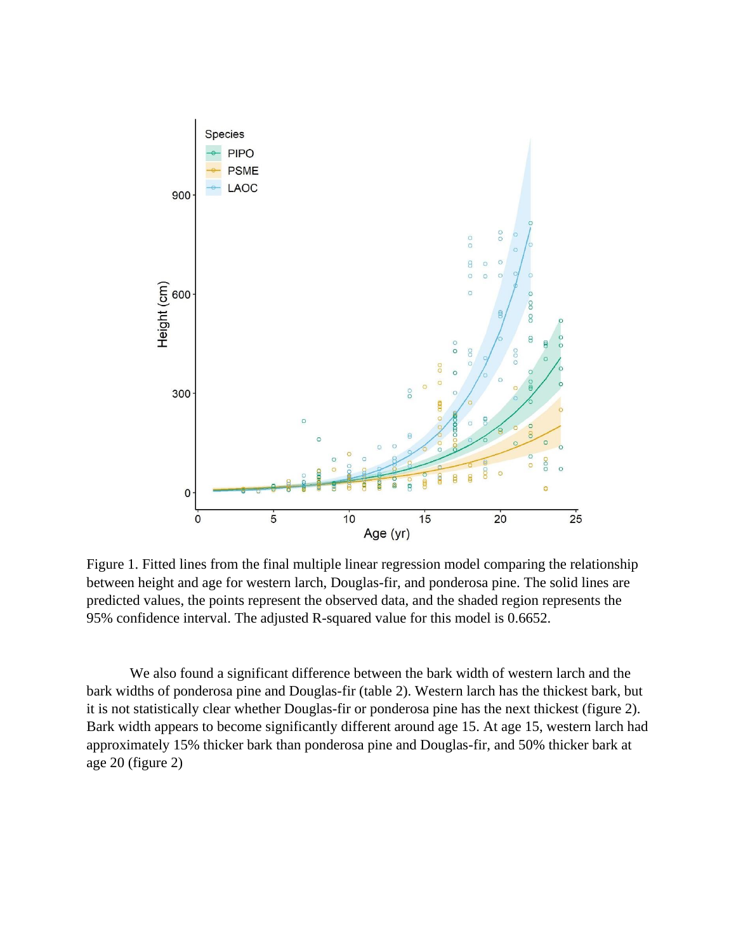

Figure 1. Fitted lines from the final multiple linear regression model comparing the relationship between height and age for western larch, Douglas-fir, and ponderosa pine. The solid lines are predicted values, the points represent the observed data, and the shaded region represents the 95% confidence interval. The adjusted R-squared value for this model is 0.6652.

We also found a significant difference between the bark width of western larch and the bark widths of ponderosa pine and Douglas-fir (table 2). Western larch has the thickest bark, but it is not statistically clear whether Douglas-fir or ponderosa pine has the next thickest (figure 2). Bark width appears to become significantly different around age 15. At age 15, western larch had approximately 15% thicker bark than ponderosa pine and Douglas-fir, and 50% thicker bark at age 20 (figure 2)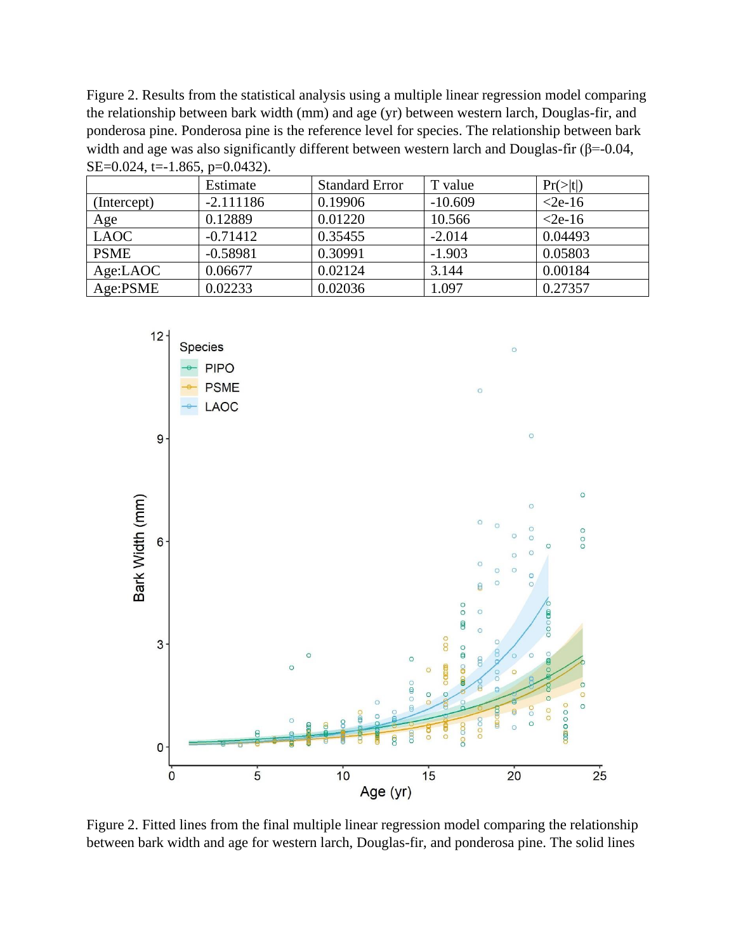Figure 2. Results from the statistical analysis using a multiple linear regression model comparing the relationship between bark width (mm) and age (yr) between western larch, Douglas-fir, and ponderosa pine. Ponderosa pine is the reference level for species. The relationship between bark width and age was also significantly different between western larch and Douglas-fir (β=-0.04, SE=0.024, t=-1.865, p=0.0432).

|             | Estimate    | <b>Standard Error</b> | T value   | Pr(> t )  |
|-------------|-------------|-----------------------|-----------|-----------|
| (Intercept) | $-2.111186$ | 0.19906               | $-10.609$ | $<$ 2e-16 |
| Age         | 0.12889     | 0.01220               | 10.566    | $<$ 2e-16 |
| <b>LAOC</b> | $-0.71412$  | 0.35455               | $-2.014$  | 0.04493   |
| <b>PSME</b> | $-0.58981$  | 0.30991               | $-1.903$  | 0.05803   |
| Age:LAOC    | 0.06677     | 0.02124               | 3.144     | 0.00184   |
| Age:PSME    | 0.02233     | 0.02036               | 1.097     | 0.27357   |



Figure 2. Fitted lines from the final multiple linear regression model comparing the relationship between bark width and age for western larch, Douglas-fir, and ponderosa pine. The solid lines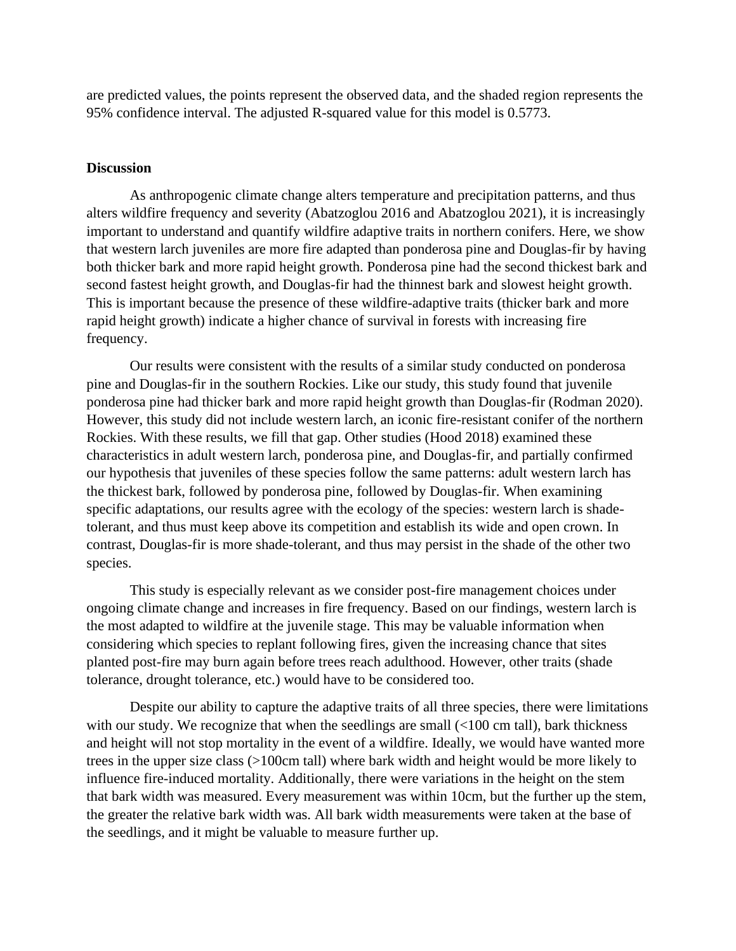are predicted values, the points represent the observed data, and the shaded region represents the 95% confidence interval. The adjusted R-squared value for this model is 0.5773.

#### **Discussion**

As anthropogenic climate change alters temperature and precipitation patterns, and thus alters wildfire frequency and severity (Abatzoglou 2016 and Abatzoglou 2021), it is increasingly important to understand and quantify wildfire adaptive traits in northern conifers. Here, we show that western larch juveniles are more fire adapted than ponderosa pine and Douglas-fir by having both thicker bark and more rapid height growth. Ponderosa pine had the second thickest bark and second fastest height growth, and Douglas-fir had the thinnest bark and slowest height growth. This is important because the presence of these wildfire-adaptive traits (thicker bark and more rapid height growth) indicate a higher chance of survival in forests with increasing fire frequency.

Our results were consistent with the results of a similar study conducted on ponderosa pine and Douglas-fir in the southern Rockies. Like our study, this study found that juvenile ponderosa pine had thicker bark and more rapid height growth than Douglas-fir (Rodman 2020). However, this study did not include western larch, an iconic fire-resistant conifer of the northern Rockies. With these results, we fill that gap. Other studies (Hood 2018) examined these characteristics in adult western larch, ponderosa pine, and Douglas-fir, and partially confirmed our hypothesis that juveniles of these species follow the same patterns: adult western larch has the thickest bark, followed by ponderosa pine, followed by Douglas-fir. When examining specific adaptations, our results agree with the ecology of the species: western larch is shadetolerant, and thus must keep above its competition and establish its wide and open crown. In contrast, Douglas-fir is more shade-tolerant, and thus may persist in the shade of the other two species.

This study is especially relevant as we consider post-fire management choices under ongoing climate change and increases in fire frequency. Based on our findings, western larch is the most adapted to wildfire at the juvenile stage. This may be valuable information when considering which species to replant following fires, given the increasing chance that sites planted post-fire may burn again before trees reach adulthood. However, other traits (shade tolerance, drought tolerance, etc.) would have to be considered too.

Despite our ability to capture the adaptive traits of all three species, there were limitations with our study. We recognize that when the seedlings are small (<100 cm tall), bark thickness and height will not stop mortality in the event of a wildfire. Ideally, we would have wanted more trees in the upper size class (>100cm tall) where bark width and height would be more likely to influence fire-induced mortality. Additionally, there were variations in the height on the stem that bark width was measured. Every measurement was within 10cm, but the further up the stem, the greater the relative bark width was. All bark width measurements were taken at the base of the seedlings, and it might be valuable to measure further up.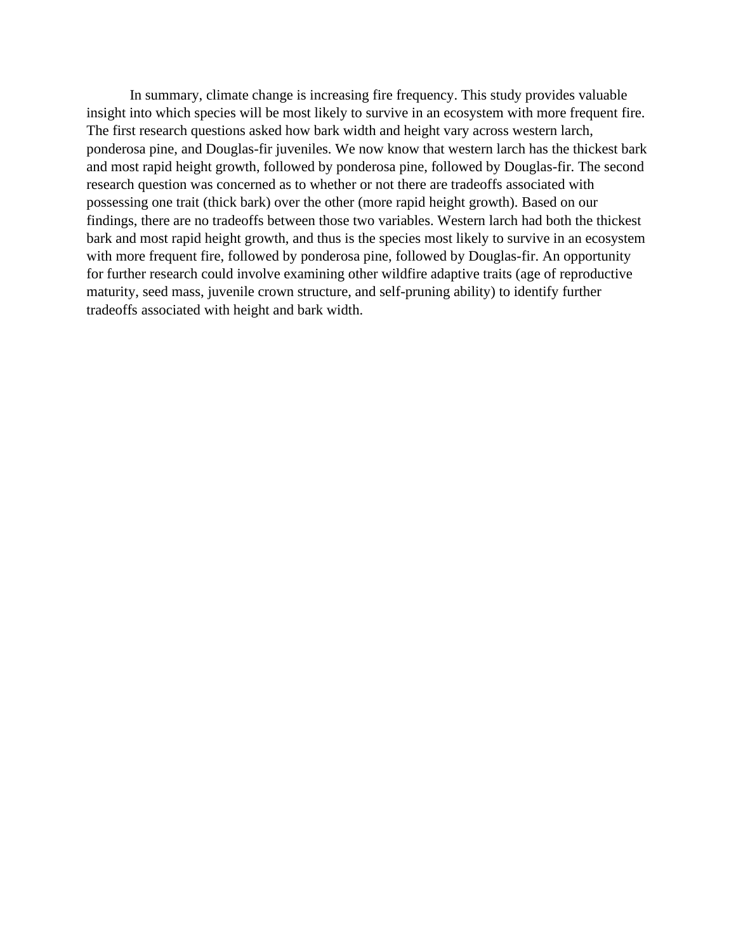In summary, climate change is increasing fire frequency. This study provides valuable insight into which species will be most likely to survive in an ecosystem with more frequent fire. The first research questions asked how bark width and height vary across western larch, ponderosa pine, and Douglas-fir juveniles. We now know that western larch has the thickest bark and most rapid height growth, followed by ponderosa pine, followed by Douglas-fir. The second research question was concerned as to whether or not there are tradeoffs associated with possessing one trait (thick bark) over the other (more rapid height growth). Based on our findings, there are no tradeoffs between those two variables. Western larch had both the thickest bark and most rapid height growth, and thus is the species most likely to survive in an ecosystem with more frequent fire, followed by ponderosa pine, followed by Douglas-fir. An opportunity for further research could involve examining other wildfire adaptive traits (age of reproductive maturity, seed mass, juvenile crown structure, and self-pruning ability) to identify further tradeoffs associated with height and bark width.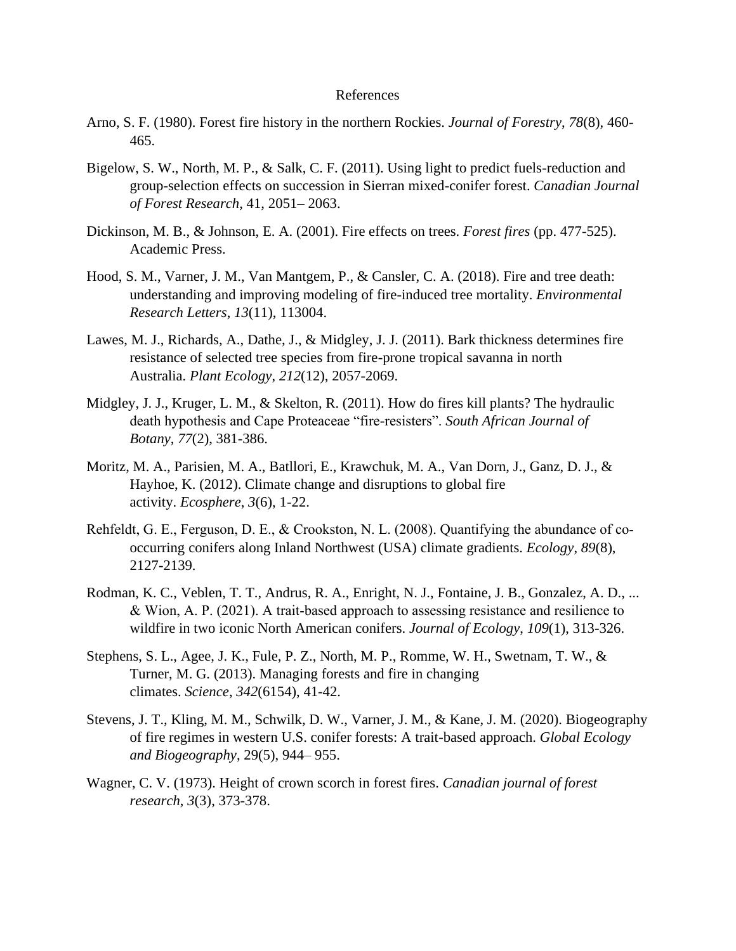#### References

- Arno, S. F. (1980). Forest fire history in the northern Rockies. *Journal of Forestry*, *78*(8), 460- 465.
- Bigelow, S. W., North, M. P., & Salk, C. F. (2011). Using light to predict fuels-reduction and group-selection effects on succession in Sierran mixed-conifer forest. *Canadian Journal of Forest Research*, 41, 2051– 2063.
- Dickinson, M. B., & Johnson, E. A. (2001). Fire effects on trees. *Forest fires* (pp. 477-525). Academic Press.
- Hood, S. M., Varner, J. M., Van Mantgem, P., & Cansler, C. A. (2018). Fire and tree death: understanding and improving modeling of fire-induced tree mortality. *Environmental Research Letters*, *13*(11), 113004.
- Lawes, M. J., Richards, A., Dathe, J., & Midgley, J. J. (2011). Bark thickness determines fire resistance of selected tree species from fire-prone tropical savanna in north Australia. *Plant Ecology*, *212*(12), 2057-2069.
- Midgley, J. J., Kruger, L. M., & Skelton, R. (2011). How do fires kill plants? The hydraulic death hypothesis and Cape Proteaceae "fire-resisters". *South African Journal of Botany*, *77*(2), 381-386.
- Moritz, M. A., Parisien, M. A., Batllori, E., Krawchuk, M. A., Van Dorn, J., Ganz, D. J., & Hayhoe, K. (2012). Climate change and disruptions to global fire activity. *Ecosphere*, *3*(6), 1-22.
- Rehfeldt, G. E., Ferguson, D. E., & Crookston, N. L. (2008). Quantifying the abundance of cooccurring conifers along Inland Northwest (USA) climate gradients. *Ecology*, *89*(8), 2127-2139.
- Rodman, K. C., Veblen, T. T., Andrus, R. A., Enright, N. J., Fontaine, J. B., Gonzalez, A. D., ... & Wion, A. P. (2021). A trait‐based approach to assessing resistance and resilience to wildfire in two iconic North American conifers. *Journal of Ecology*, *109*(1), 313-326.
- Stephens, S. L., Agee, J. K., Fule, P. Z., North, M. P., Romme, W. H., Swetnam, T. W., & Turner, M. G. (2013). Managing forests and fire in changing climates. *Science*, *342*(6154), 41-42.
- Stevens, J. T., Kling, M. M., Schwilk, D. W., Varner, J. M., & Kane, J. M. (2020). Biogeography of fire regimes in western U.S. conifer forests: A trait-based approach. *Global Ecology and Biogeography*, 29(5), 944– 955.
- Wagner, C. V. (1973). Height of crown scorch in forest fires. *Canadian journal of forest research*, *3*(3), 373-378.